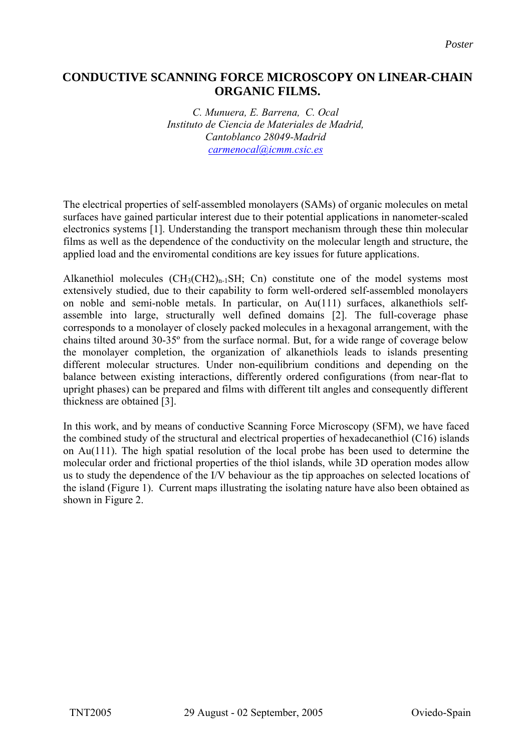## **Please follow the model below. ORGANIC FILMS. CONDUCTIVE SCANNING FORCE MICROSCOPY ON LINEAR-CHAIN**

*C. Munuera, E. Barrena, C. Ocal Instituto de Ciencia de Materiales de Madrid, Cantoblanco 28049-Madrid [carmenocal@icmm.csic.es](mailto:carmenocal@icmm.csic.es)*

The electrical properties of self-assembled monolayers (SAMs) of organic molecules on metal surfaces have gained particular interest due to their potential applications in nanometer-scaled electronics systems [1]. Understanding the transport mechanism through these thin molecular films as well as the dependence of the conductivity on the molecular length and structure, the applied load and the enviromental conditions are key issues for future applications.

Alkanethiol molecules  $(CH_3(CH2)<sub>n-1</sub>SH$ ; Cn) constitute one of the model systems most extensively studied, due to their capability to form well-ordered self-assembled monolayers on noble and semi-noble metals. In particular, on Au(111) surfaces, alkanethiols selfassemble into large, structurally well defined domains [2]. The full-coverage phase corresponds to a monolayer of closely packed molecules in a hexagonal arrangement, with the chains tilted around 30-35º from the surface normal. But, for a wide range of coverage below the monolayer completion, the organization of alkanethiols leads to islands presenting different molecular structures. Under non-equilibrium conditions and depending on the balance between existing interactions, differently ordered configurations (from near-flat to upright phases) can be prepared and films with different tilt angles and consequently different thickness are obtained [3].

In this work, and by means of conductive Scanning Force Microscopy (SFM), we have faced the combined study of the structural and electrical properties of hexadecanethiol (C16) islands on Au(111). The high spatial resolution of the local probe has been used to determine the molecular order and frictional properties of the thiol islands, while 3D operation modes allow us to study the dependence of the I/V behaviour as the tip approaches on selected locations of the island (Figure 1). Current maps illustrating the isolating nature have also been obtained as shown in Figure 2.